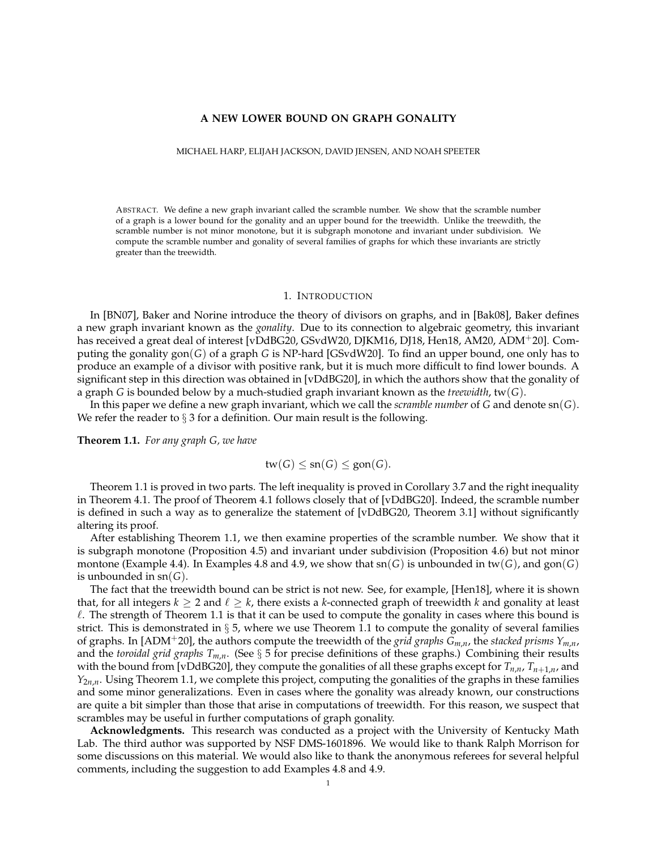# **A NEW LOWER BOUND ON GRAPH GONALITY**

MICHAEL HARP, ELIJAH JACKSON, DAVID JENSEN, AND NOAH SPEETER

ABSTRACT. We define a new graph invariant called the scramble number. We show that the scramble number of a graph is a lower bound for the gonality and an upper bound for the treewidth. Unlike the treewdith, the scramble number is not minor monotone, but it is subgraph monotone and invariant under subdivision. We compute the scramble number and gonality of several families of graphs for which these invariants are strictly greater than the treewidth.

# 1. INTRODUCTION

In [BN07], Baker and Norine introduce the theory of divisors on graphs, and in [Bak08], Baker defines a new graph invariant known as the *gonality*. Due to its connection to algebraic geometry, this invariant has received a great deal of interest [vDdBG20, GSvdW20, DJKM16, DJ18, Hen18, AM20, ADM<sup>+</sup>20]. Computing the gonality gon(*G*) of a graph *G* is NP-hard [GSvdW20]. To find an upper bound, one only has to produce an example of a divisor with positive rank, but it is much more difficult to find lower bounds. A significant step in this direction was obtained in [vDdBG20], in which the authors show that the gonality of a graph *G* is bounded below by a much-studied graph invariant known as the *treewidth*, tw(*G*).

In this paper we define a new graph invariant, which we call the *scramble number* of *G* and denote sn(*G*). We refer the reader to  $\S 3$  for a definition. Our main result is the following.

**Theorem 1.1.** *For any graph G, we have*

$$
tw(G) \le sn(G) \le gon(G).
$$

Theorem 1.1 is proved in two parts. The left inequality is proved in Corollary 3.7 and the right inequality in Theorem 4.1. The proof of Theorem 4.1 follows closely that of [vDdBG20]. Indeed, the scramble number is defined in such a way as to generalize the statement of [vDdBG20, Theorem 3.1] without significantly altering its proof.

After establishing Theorem 1.1, we then examine properties of the scramble number. We show that it is subgraph monotone (Proposition 4.5) and invariant under subdivision (Proposition 4.6) but not minor montone (Example 4.4). In Examples 4.8 and 4.9, we show that  $\text{sn}(G)$  is unbounded in  $\text{tw}(G)$ , and  $\text{gon}(G)$ is unbounded in sn(*G*).

The fact that the treewidth bound can be strict is not new. See, for example, [Hen18], where it is shown that, for all integers  $k \geq 2$  and  $\ell \geq k$ , there exists a *k*-connected graph of treewidth *k* and gonality at least  $\ell$ . The strength of Theorem 1.1 is that it can be used to compute the gonality in cases where this bound is strict. This is demonstrated in  $\S$  5, where we use Theorem 1.1 to compute the gonality of several families of graphs. In [ADM+20], the authors compute the treewidth of the *grid graphs Gm*,*n*, the *stacked prisms Ym*,*n*, and the *toroidal grid graphs Tm*,*n*. (See § 5 for precise definitions of these graphs.) Combining their results with the bound from [vDdBG20], they compute the gonalities of all these graphs except for  $T_{n,n}$ ,  $T_{n+1,n}$ , and *Y*<sub>2*n*,*n*</sub>. Using Theorem 1.1, we complete this project, computing the gonalities of the graphs in these families and some minor generalizations. Even in cases where the gonality was already known, our constructions are quite a bit simpler than those that arise in computations of treewidth. For this reason, we suspect that scrambles may be useful in further computations of graph gonality.

**Acknowledgments.** This research was conducted as a project with the University of Kentucky Math Lab. The third author was supported by NSF DMS-1601896. We would like to thank Ralph Morrison for some discussions on this material. We would also like to thank the anonymous referees for several helpful comments, including the suggestion to add Examples 4.8 and 4.9.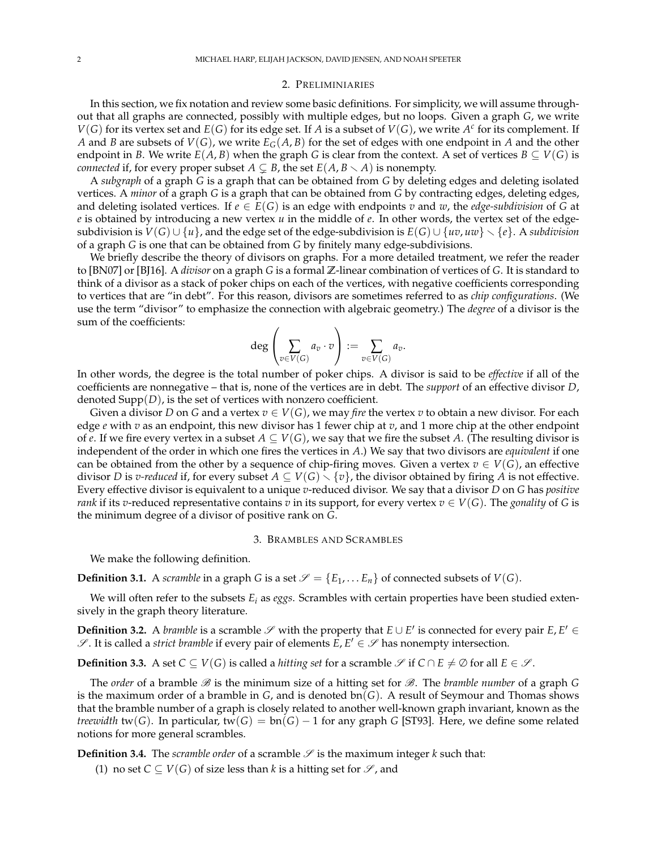#### 2. PRELIMINIARIES

In this section, we fix notation and review some basic definitions. For simplicity, we will assume throughout that all graphs are connected, possibly with multiple edges, but no loops. Given a graph *G*, we write  $V(G)$  for its vertex set and  $E(G)$  for its edge set. If *A* is a subset of  $V(G)$ , we write  $A^c$  for its complement. If *A* and *B* are subsets of  $V(G)$ , we write  $E_G(A, B)$  for the set of edges with one endpoint in *A* and the other endpoint in *B*. We write  $E(A, B)$  when the graph *G* is clear from the context. A set of vertices  $B \subseteq V(G)$  is *connected* if, for every proper subset  $A \subsetneq B$ , the set  $E(A, B \setminus A)$  is nonempty.

A *subgraph* of a graph *G* is a graph that can be obtained from *G* by deleting edges and deleting isolated vertices. A *minor* of a graph *G* is a graph that can be obtained from *G* by contracting edges, deleting edges, and deleting isolated vertices. If  $e \in E(G)$  is an edge with endpoints *v* and *w*, the *edge-subdivision* of *G* at *e* is obtained by introducing a new vertex *u* in the middle of *e*. In other words, the vertex set of the edgesubdivision is  $V(G) \cup \{u\}$ , and the edge set of the edge-subdivision is  $E(G) \cup \{uv, uw\} \setminus \{e\}$ . A *subdivision* of a graph *G* is one that can be obtained from *G* by finitely many edge-subdivisions.

We briefly describe the theory of divisors on graphs. For a more detailed treatment, we refer the reader to [BN07] or [BJ16]. A *divisor* on a graph *G* is a formal **Z**-linear combination of vertices of *G*. It is standard to think of a divisor as a stack of poker chips on each of the vertices, with negative coefficients corresponding to vertices that are "in debt". For this reason, divisors are sometimes referred to as *chip configurations*. (We use the term "divisor" to emphasize the connection with algebraic geometry.) The *degree* of a divisor is the sum of the coefficients:

$$
\deg\left(\sum_{v\in V(G)}a_v\cdot v\right):=\sum_{v\in V(G)}a_v.
$$

In other words, the degree is the total number of poker chips. A divisor is said to be *effective* if all of the coefficients are nonnegative – that is, none of the vertices are in debt. The *support* of an effective divisor *D*, denoted Supp(*D*), is the set of vertices with nonzero coefficient.

Given a divisor *D* on *G* and a vertex  $v \in V(G)$ , we may *fire* the vertex *v* to obtain a new divisor. For each edge *e* with *v* as an endpoint, this new divisor has 1 fewer chip at *v*, and 1 more chip at the other endpoint of *e*. If we fire every vertex in a subset  $A \subseteq V(G)$ , we say that we fire the subset A. (The resulting divisor is independent of the order in which one fires the vertices in *A*.) We say that two divisors are *equivalent* if one can be obtained from the other by a sequence of chip-firing moves. Given a vertex  $v \in V(G)$ , an effective divisor *D* is *v-reduced* if, for every subset  $A \subseteq V(G) \setminus \{v\}$ , the divisor obtained by firing *A* is not effective. Every effective divisor is equivalent to a unique *v*-reduced divisor. We say that a divisor *D* on *G* has *positive rank* if its *v*-reduced representative contains *v* in its support, for every vertex  $v \in V(G)$ . The *gonality* of *G* is the minimum degree of a divisor of positive rank on *G*.

# 3. BRAMBLES AND SCRAMBLES

We make the following definition.

**Definition 3.1.** A *scramble* in a graph *G* is a set  $\mathcal{S} = \{E_1, \ldots E_n\}$  of connected subsets of  $V(G)$ .

We will often refer to the subsets *E<sup>i</sup>* as *eggs*. Scrambles with certain properties have been studied extensively in the graph theory literature.

**Definition 3.2.** A *bramble* is a scramble  $\mathscr S$  with the property that  $E \cup E'$  is connected for every pair  $E, E' \in$  $\mathscr{S}$ . It is called a *strict bramble* if every pair of elements  $\vec{E}$ ,  $E' \in \mathscr{S}$  has nonempty intersection.

**Definition 3.3.** A set  $C \subseteq V(G)$  is called a *hitting set* for a scramble  $\mathscr{S}$  if  $C \cap E \neq \emptyset$  for all  $E \in \mathscr{S}$ .

The *order* of a bramble B is the minimum size of a hitting set for B. The *bramble number* of a graph *G* is the maximum order of a bramble in *G*, and is denoted bn(*G*). A result of Seymour and Thomas shows that the bramble number of a graph is closely related to another well-known graph invariant, known as the *treewidth* tw(*G*). In particular, tw(*G*) = bn(*G*) – 1 for any graph *G* [ST93]. Here, we define some related notions for more general scrambles.

**Definition 3.4.** The *scramble order* of a scramble  $\mathcal{S}$  is the maximum integer *k* such that:

(1) no set  $C \subseteq V(G)$  of size less than *k* is a hitting set for  $\mathscr{S}$ , and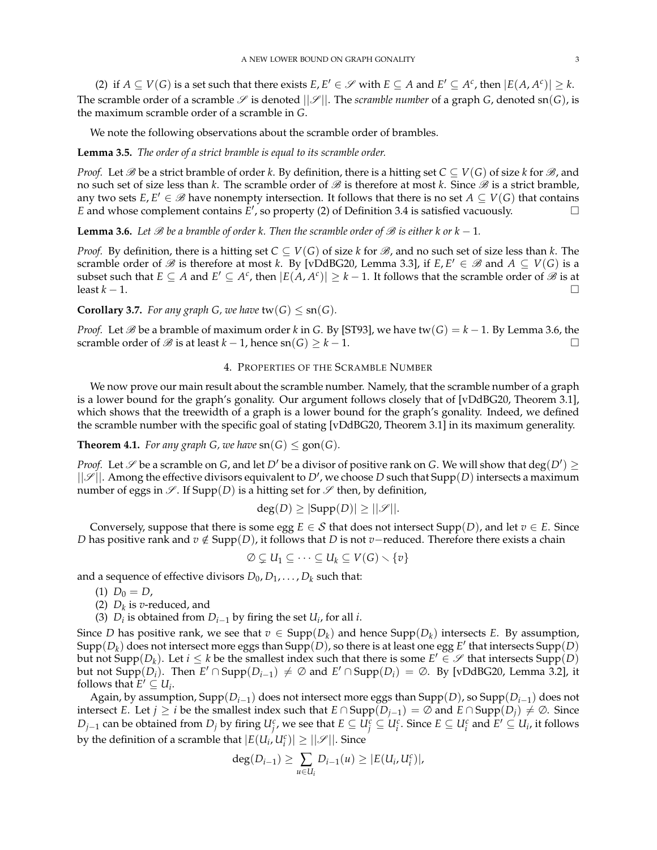(2) if  $A \subseteq V(G)$  is a set such that there exists  $E, E' \in \mathcal{S}$  with  $E \subseteq A$  and  $E' \subseteq A^c$ , then  $|E(A, A^c)| \geq k$ . The scramble order of a scramble  $\mathscr S$  is denoted  $||\mathscr S||$ . The *scramble number* of a graph *G*, denoted sn(*G*), is the maximum scramble order of a scramble in *G*.

We note the following observations about the scramble order of brambles.

## **Lemma 3.5.** *The order of a strict bramble is equal to its scramble order.*

*Proof.* Let  $\mathscr B$  be a strict bramble of order *k*. By definition, there is a hitting set  $C \subseteq V(G)$  of size *k* for  $\mathscr B$ , and no such set of size less than  $k$ . The scramble order of  $\mathscr B$  is therefore at most  $k$ . Since  $\mathscr B$  is a strict bramble, any two sets  $E, E' \in \mathscr{B}$  have nonempty intersection. It follows that there is no set  $A \subseteq V(G)$  that contains *E* and whose complement contains  $E'$ , so property (2) of Definition 3.4 is satisfied vacuously.

**Lemma 3.6.** Let  $\mathscr B$  be a bramble of order k. Then the scramble order of  $\mathscr B$  is either k or k − 1.

*Proof.* By definition, there is a hitting set  $C \subseteq V(G)$  of size *k* for  $\mathcal{B}$ , and no such set of size less than *k*. The scramble order of  $\mathscr B$  is therefore at most *k*. By [vDdBG20, Lemma 3.3], if  $E, E' \in \mathscr B$  and  $A \subseteq V(G)$  is a subset such that  $E \subseteq A$  and  $E' \subseteq A^c$ , then  $|E(A, A^c)| \geq k-1$ . It follows that the scramble order of  $\hat{\mathscr{B}}$  is at least *k* − 1.

**Corollary 3.7.** *For any graph G, we have*  $\text{tw}(G) \leq \text{sn}(G)$ *.* 

*Proof.* Let  $\mathscr B$  be a bramble of maximum order *k* in *G*. By [ST93], we have tw(*G*) =  $k - 1$ . By Lemma 3.6, the scramble order of  $\mathcal{B}$  is at least  $k - 1$ , hence  $\text{sn}(G) \geq k - 1$ .

# 4. PROPERTIES OF THE SCRAMBLE NUMBER

We now prove our main result about the scramble number. Namely, that the scramble number of a graph is a lower bound for the graph's gonality. Our argument follows closely that of [vDdBG20, Theorem 3.1], which shows that the treewidth of a graph is a lower bound for the graph's gonality. Indeed, we defined the scramble number with the specific goal of stating [vDdBG20, Theorem 3.1] in its maximum generality.

**Theorem 4.1.** *For any graph G, we have*  $\text{sn}(G) \leq \text{gon}(G)$ *.* 

*Proof.* Let  $\mathscr S$  be a scramble on *G*, and let  $D'$  be a divisor of positive rank on *G*. We will show that  $deg(D') \ge$  $||\mathscr{S}||$ . Among the effective divisors equivalent to  $D'$ , we choose  $D$  such that  $\text{Supp}(D)$  intersects a maximum number of eggs in  $\mathscr{S}$ . If Supp(*D*) is a hitting set for  $\mathscr{S}$  then, by definition,

$$
deg(D) \ge |Supp(D)| \ge ||\mathcal{S}||.
$$

Conversely, suppose that there is some egg  $E \in S$  that does not intersect Supp(*D*), and let  $v \in E$ . Since *D* has positive rank and *v* ∉ Supp(*D*), it follows that *D* is not *v*−reduced. Therefore there exists a chain

$$
\emptyset \subsetneq U_1 \subseteq \cdots \subseteq U_k \subseteq V(G) \setminus \{v\}
$$

and a sequence of effective divisors  $D_0, D_1, \ldots, D_k$  such that:

- (1)  $D_0 = D$ ,
- (2)  $D_k$  is *v*-reduced, and
- (3) *D*<sup>*i*</sup> is obtained from *D*<sup>*i*</sup> $-1$ </sub> by firing the set *U*<sup>*i*</sup>, for all *i*.

Since *D* has positive rank, we see that  $v \in \text{Supp}(D_k)$  and hence  $\text{Supp}(D_k)$  intersects *E*. By assumption,  $\text{Supp}(D_k)$  does not intersect more eggs than  $\text{Supp}(D)$ , so there is at least one egg  $E'$  that intersects  $\text{Supp}(D)$ but not Supp $(D_k)$ . Let  $i \leq k$  be the smallest index such that there is some  $E' \in \mathscr{S}$  that intersects Supp $(D)$ but not  $\text{Supp}(D_i)$ . Then  $E' \cap \text{Supp}(D_{i-1}) \neq \emptyset$  and  $E' \cap \text{Supp}(D_i) = \emptyset$ . By [vDdBG20, Lemma 3.2], it follows that  $E' \subseteq U_i$ .

Again, by assumption, Supp(*Di*−1) does not intersect more eggs than Supp(*D*), so Supp(*Di*−1) does not intersect *E*. Let *j* ≥ *i* be the smallest index such that  $E \cap \text{Supp}(D_{j-1}) = \emptyset$  and  $E \cap \text{Supp}(D_j) \neq \emptyset$ . Since  $D_{j-1}$  can be obtained from  $D_j$  by firing  $U_j^c$ , we see that  $E\subseteq U_j^c\subseteq U_i^c.$  Since  $E\subseteq U_i^c$  and  $E'\subseteq U_i$ , it follows by the definition of a scramble that  $|E(U_i, U_i^c)| \geq ||\mathscr{S}||$ . Since

$$
\deg(D_{i-1}) \geq \sum_{u \in U_i} D_{i-1}(u) \geq |E(U_i, U_i^c)|,
$$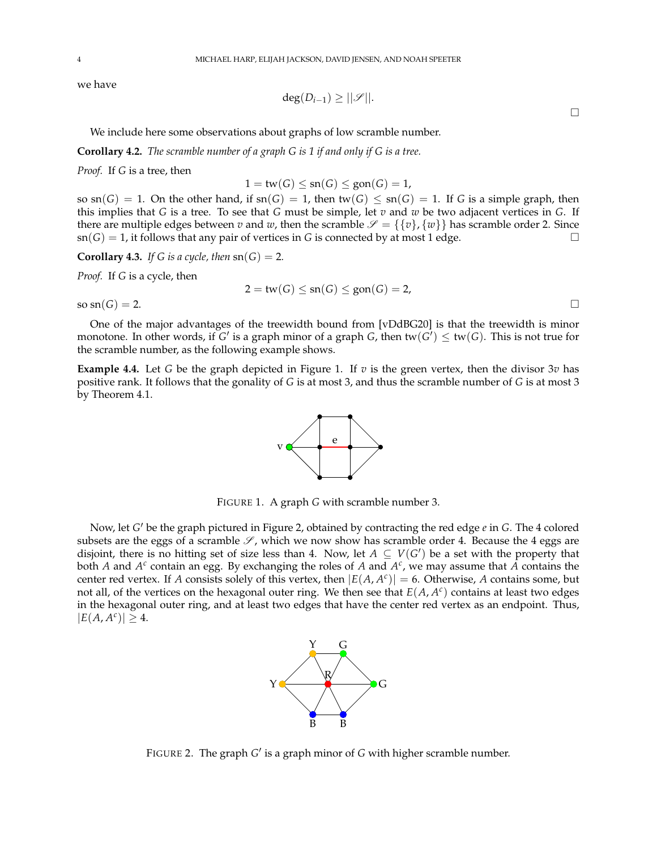we have

$$
\deg(D_{i-1}) \geq ||\mathscr{S}||.
$$

We include here some observations about graphs of low scramble number.

**Corollary 4.2.** *The scramble number of a graph G is 1 if and only if G is a tree.*

*Proof.* If *G* is a tree, then

 $1 = \text{tw}(G) \le \text{sn}(G) \le \text{gon}(G) = 1$ ,

so  $\text{sn}(G) = 1$ . On the other hand, if  $\text{sn}(G) = 1$ , then  $\text{tw}(G) \leq \text{sn}(G) = 1$ . If *G* is a simple graph, then this implies that *G* is a tree. To see that *G* must be simple, let *v* and *w* be two adjacent vertices in *G*. If there are multiple edges between *v* and *w*, then the scramble  $\mathcal{S} = \{\{v\}, \{w\}\}\$  has scramble order 2. Since  $\text{sn}(G) = 1$ , it follows that any pair of vertices in *G* is connected by at most 1 edge.

**Corollary 4.3.** *If G is a cycle, then*  $\text{sn}(G) = 2$ *.* 

*Proof.* If *G* is a cycle, then

$$
2 = \mathsf{tw}(G) \le \operatorname{sn}(G) \le \operatorname{gon}(G) = 2,
$$

so  $\text{sn}(G) = 2$ .

One of the major advantages of the treewidth bound from [vDdBG20] is that the treewidth is minor monotone. In other words, if  $G'$  is a graph minor of a graph  $G$ , then tw $(G') \leq$  tw $(G)$ . This is not true for the scramble number, as the following example shows.

**Example 4.4.** Let *G* be the graph depicted in Figure 1. If *v* is the green vertex, then the divisor 3*v* has positive rank. It follows that the gonality of *G* is at most 3, and thus the scramble number of *G* is at most 3 by Theorem 4.1.



FIGURE 1. A graph *G* with scramble number 3.

Now, let *G'* be the graph pictured in Figure 2, obtained by contracting the red edge *e* in *G*. The 4 colored subsets are the eggs of a scramble  $\mathscr{S}$ , which we now show has scramble order 4. Because the 4 eggs are disjoint, there is no hitting set of size less than 4. Now, let  $A \subseteq V(G')$  be a set with the property that both *A* and  $A^c$  contain an egg. By exchanging the roles of *A* and  $A^c$ , we may assume that *A* contains the center red vertex. If *A* consists solely of this vertex, then  $|E(A, A^c)| = 6$ . Otherwise, *A* contains some, but not all, of the vertices on the hexagonal outer ring. We then see that *E*(*A*, *A c* ) contains at least two edges in the hexagonal outer ring, and at least two edges that have the center red vertex as an endpoint. Thus,  $|E(A, A^c)| \geq 4.$ 



FIGURE 2. The graph *G'* is a graph minor of *G* with higher scramble number.

 $\Box$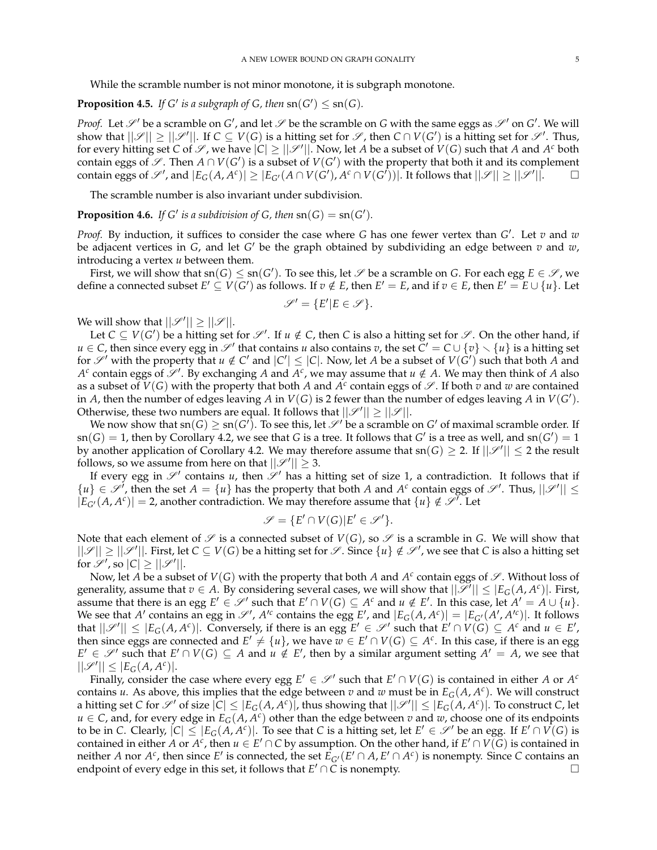While the scramble number is not minor monotone, it is subgraph monotone.

# **Proposition 4.5.** *If G' is a subgraph of G, then*  $\text{sn}(G') \leq \text{sn}(G)$ *.*

*Proof.* Let  $\mathscr{S}'$  be a scramble on *G'*, and let  $\mathscr{S}$  be the scramble on *G* with the same eggs as  $\mathscr{S}'$  on *G'*. We will show that  $||\mathscr{S}|| \ge ||\mathscr{S}'||$ . If  $C \subseteq V(G)$  is a hitting set for  $\mathscr{S}$ , then  $C \cap V(G')$  is a hitting set for  $\mathscr{S}'$ . Thus, for every hitting set *C* of  $\mathscr{S}$ , we have  $|C| \ge ||\mathscr{S}'||$ . Now, let *A* be a subset of  $V(G)$  such that *A* and *A<sup>c</sup>* both contain eggs of  $\mathscr{S}$ . Then  $A \cap V(G')$  is a subset of  $V(G')$  with the property that both it and its complement contain eggs of  $\mathscr{S}'$ , and  $|E_G(A, A^c)| \geq |E_{G'}(A \cap V(G'), A^c \cap V(G'))|$ . It follows that  $||\mathscr{S}|| \geq ||\mathscr{S}'||$ .

The scramble number is also invariant under subdivision.

**Proposition 4.6.** *If*  $G'$  *is a subdivision of*  $G$ *, then*  $\text{sn}(G) = \text{sn}(G')$ *.* 

*Proof.* By induction, it suffices to consider the case where *G* has one fewer vertex than *G* 0 . Let *v* and *w* be adjacent vertices in *G*, and let *G'* be the graph obtained by subdividing an edge between *v* and *w*, introducing a vertex *u* between them.

First, we will show that  $sn(G) \leq sn(G')$ . To see this, let  $\mathscr S$  be a scramble on  $G$ . For each egg  $E \in \mathscr S$ , we define a connected subset  $E' \subseteq V(G')$  as follows. If  $v \notin E$ , then  $E' = E$ , and if  $v \in E$ , then  $E' = E \cup \{u\}$ . Let

$$
\mathscr{S}' = \{ E' | E \in \mathscr{S} \}.
$$

We will show that  $||\mathscr{S}'|| \geq ||\mathscr{S}||$ .

Let  $C \subseteq V(G')$  be a hitting set for  $\mathscr{S}'$ . If  $u \notin C$ , then *C* is also a hitting set for  $\mathscr{S}$ . On the other hand, if *u* ∈ *C*, then since every egg in  $\mathscr{S}'$  that contains *u* also contains *v*, the set  $C' = C \cup \{v\} \setminus \{u\}$  is a hitting set for  $\mathscr{S}'$  with the property that  $u \notin C'$  and  $|C'| \leq |C|$ . Now, let *A* be a subset of  $V(G')$  such that both *A* and  $A^c$  contain eggs of  $\mathscr{S}'$ . By exchanging *A* and  $A^c$ , we may assume that  $u \notin A$ . We may then think of *A* also as a subset of  $V(G)$  with the property that both A and  $A^c$  contain eggs of  $\mathscr S$ . If both  $v$  and  $w$  are contained in *A*, then the number of edges leaving *A* in  $V(G)$  is 2 fewer than the number of edges leaving *A* in  $V(G')$ . Otherwise, these two numbers are equal. It follows that  $||\mathscr{S}'|| \ge ||\mathscr{S}||$ .

We now show that  $sn(G) \geq sn(G')$ . To see this, let  $\mathscr{S}'$  be a scramble on  $G'$  of maximal scramble order. If  $\text{sn}(G) = 1$ , then by Corollary 4.2, we see that *G* is a tree. It follows that *G'* is a tree as well, and  $\text{sn}(G') = 1$ by another application of Corollary 4.2. We may therefore assume that  $\text{sn}(G) \geq 2$ . If  $||\mathscr{S}'|| \leq 2$  the result follows, so we assume from here on that  $||\mathcal{S}'|| \geq 3$ .

If every egg in  $\mathscr{S}'$  contains *u*, then  $\mathscr{S}'$  has a hitting set of size 1, a contradiction. It follows that if  $\{u\} \in \mathscr{S}^1$ , then the set  $A = \{u\}$  has the property that both *A* and  $A^c$  contain eggs of  $\mathscr{S}^1$ . Thus,  $||\mathscr{S}^1|| \leq$  $|E_{G'}(A, A^c)| = 2$ , another contradiction. We may therefore assume that  $\{u\} \notin \mathcal{S}^{\gamma}$ . Let

$$
\mathscr{S} = \{ E' \cap V(G) | E' \in \mathscr{S}' \}.
$$

Note that each element of  $\mathscr S$  is a connected subset of  $V(G)$ , so  $\mathscr S$  is a scramble in G. We will show that  $||\mathscr{S}|| \geq ||\mathscr{S}'||$ . First, let  $C \subseteq V(G)$  be a hitting set for  $\mathscr{S}$ . Since  $\{u\} \notin \mathscr{S}'$ , we see that *C* is also a hitting set for  $\mathscr{S}'$ , so  $|C| \geq ||\mathscr{S}'||$ .

Now, let A be a subset of  $V(G)$  with the property that both A and  $A^c$  contain eggs of  $\mathscr{S}$ . Without loss of generality, assume that  $v \in A$ . By considering several cases, we will show that  $||\mathcal{I}|| \leq |E_G(A, A^c)|$ . First, assume that there is an egg  $E' \in \mathscr{S}'$  such that  $E' \cap V(G) \subseteq A^c$  and  $u \notin E'$ . In this case, let  $A' = A \cup \{u\}$ . We see that *A'* contains an egg in  $\mathscr{S}'$ ,  $A'^c$  contains the egg *E'*, and  $|E_G(A, A^c)| = |E_{G'}(A', A'^c)|$ . It follows that  $||\mathscr{S}'|| \leq |E_G(A, A^c)|$ . Conversely, if there is an egg  $E' \in \mathscr{S}'$  such that  $E' \cap V(G) \subseteq A^c$  and  $u \in E'$ , then since eggs are connected and  $E' \neq \{u\}$ , we have  $\overline{w} \in E' \cap V(G) \subseteq A^c$ . In this case, if there is an egg  $E' \in \mathscr{S}'$  such that  $E' \cap V(G) \subseteq A$  and  $u \notin E'$ , then by a similar argument setting  $A' = A$ , we see that  $||\mathscr{S}'|| \leq |E_G(A, A^c)|.$ 

Finally, consider the case where every egg  $E' \in \mathcal{S}'$  such that  $E' \cap V(G)$  is contained in either *A* or  $A^c$ contains *u*. As above, this implies that the edge between *v* and *w* must be in *EG*(*A*, *A c* ). We will construct a hitting set *C* for  $\mathscr{S}'$  of size  $|\mathcal{C}| \leq |E_G(A,A^c)|$ , thus showing that  $||\mathscr{S}'|| \leq |E_G(A,A^c)|$ . To construct *C*, let  $u \in C$ , and, for every edge in  $E_G(A, A^c)$  other than the edge between  $v$  and  $w$ , choose one of its endpoints to be in *C*. Clearly,  $|C| \leq |E_G(A, A^c)|$ . To see that *C* is a hitting set, let  $E' \in \mathscr{S}'$  be an egg. If  $E' \cap V(G)$  is contained in either *A* or *A<sup>c</sup>*, then  $u \in E' \cap C$  by assumption. On the other hand, if  $E' \cap V(\widetilde{G})$  is contained in neither *A* nor  $A^c$ , then since *E'* is connected, the set  $\tilde{E}_{G'}(E' \cap A, E' \cap A^c)$  is nonempty. Since *C* contains an endpoint of every edge in this set, it follows that  $E' \cap C$  is nonempty.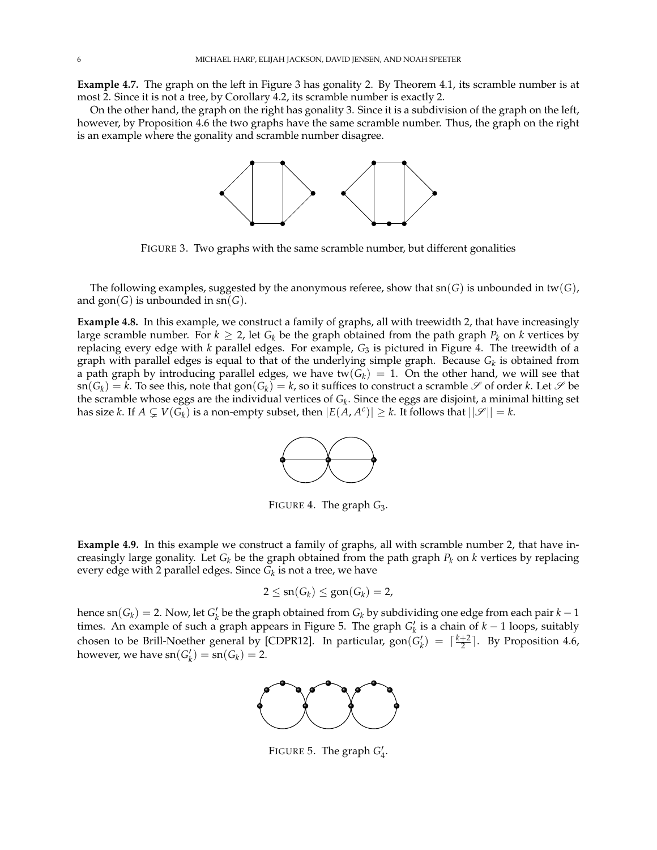**Example 4.7.** The graph on the left in Figure 3 has gonality 2. By Theorem 4.1, its scramble number is at most 2. Since it is not a tree, by Corollary 4.2, its scramble number is exactly 2.

On the other hand, the graph on the right has gonality 3. Since it is a subdivision of the graph on the left, however, by Proposition 4.6 the two graphs have the same scramble number. Thus, the graph on the right is an example where the gonality and scramble number disagree.



FIGURE 3. Two graphs with the same scramble number, but different gonalities

The following examples, suggested by the anonymous referee, show that  $\text{sn}(G)$  is unbounded in  $\text{tw}(G)$ , and  $\text{gon}(G)$  is unbounded in  $\text{sn}(G)$ .

**Example 4.8.** In this example, we construct a family of graphs, all with treewidth 2, that have increasingly large scramble number. For  $k \geq 2$ , let  $G_k$  be the graph obtained from the path graph  $P_k$  on  $k$  vertices by replacing every edge with *k* parallel edges. For example, *G*<sup>3</sup> is pictured in Figure 4. The treewidth of a graph with parallel edges is equal to that of the underlying simple graph. Because *G<sup>k</sup>* is obtained from a path graph by introducing parallel edges, we have tw $(G_k) = 1$ . On the other hand, we will see that  $\text{sn}(G_k) = k$ . To see this, note that  $\text{gon}(G_k) = k$ , so it suffices to construct a scramble  $\mathscr S$  of order  $k$ . Let  $\mathscr S$  be the scramble whose eggs are the individual vertices of *G<sup>k</sup>* . Since the eggs are disjoint, a minimal hitting set has size *k*. If  $A \subsetneq V(G_k)$  is a non-empty subset, then  $|E(A, A^c)| \geq k$ . It follows that  $||\mathscr{S}|| = k$ .



FIGURE 4. The graph *G*3.

**Example 4.9.** In this example we construct a family of graphs, all with scramble number 2, that have increasingly large gonality. Let *G<sup>k</sup>* be the graph obtained from the path graph *P<sup>k</sup>* on *k* vertices by replacing every edge with 2 parallel edges. Since *G<sup>k</sup>* is not a tree, we have

$$
2 \leq sn(G_k) \leq gon(G_k) = 2,
$$

hence sn( $G_k$ ) = 2. Now, let  $G'_k$  be the graph obtained from  $G_k$  by subdividing one edge from each pair  $k-1$ times. An example of such a graph appears in Figure 5. The graph  $G'_{k}$  is a chain of  $k - 1$  loops, suitably chosen to be Brill-Noether general by [CDPR12]. In particular,  $gon(G_k') = \lceil \frac{k+2}{2} \rceil$ . By Proposition 4.6, however, we have  $\text{sn}(G_k') = \text{sn}(G_k) = 2$ .



FIGURE 5. The graph  $G_4'$ .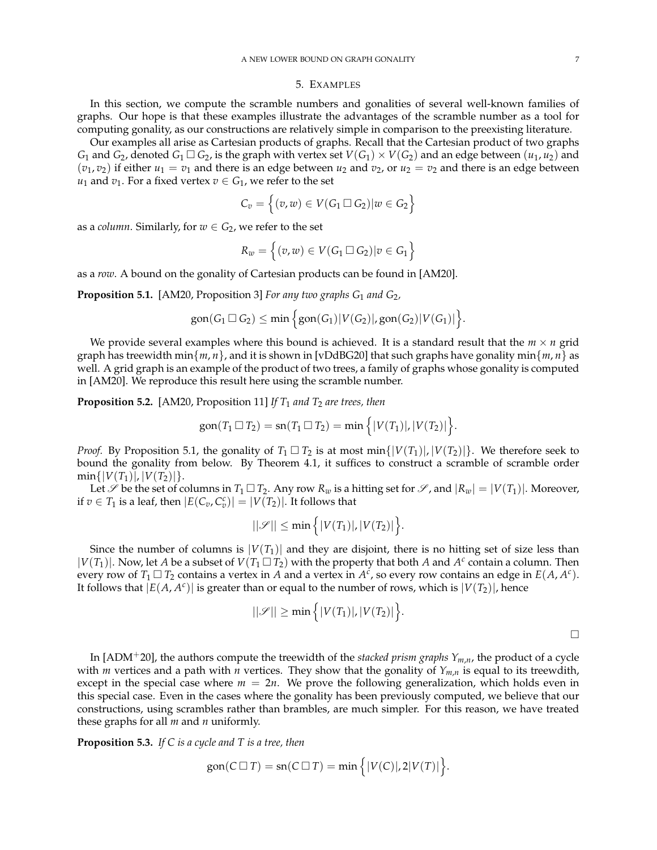#### 5. EXAMPLES

In this section, we compute the scramble numbers and gonalities of several well-known families of graphs. Our hope is that these examples illustrate the advantages of the scramble number as a tool for computing gonality, as our constructions are relatively simple in comparison to the preexisting literature.

Our examples all arise as Cartesian products of graphs. Recall that the Cartesian product of two graphs *G*<sub>1</sub> and *G*<sub>2</sub>, denoted *G*<sub>1</sub>  $\Box$  *G*<sub>2</sub>, is the graph with vertex set  $V(G_1) \times V(G_2)$  and an edge between  $(u_1, u_2)$  and  $(v_1, v_2)$  if either  $u_1 = v_1$  and there is an edge between  $u_2$  and  $v_2$ , or  $u_2 = v_2$  and there is an edge between *u*<sub>1</sub> and *v*<sub>1</sub>. For a fixed vertex *v*  $\in$  *G*<sub>1</sub>, we refer to the set

$$
C_v = \left\{ (v, w) \in V(G_1 \square G_2) | w \in G_2 \right\}
$$

as a *column*. Similarly, for  $w \in G_2$ , we refer to the set

$$
R_w = \left\{ (v, w) \in V(G_1 \square G_2) | v \in G_1 \right\}
$$

as a *row*. A bound on the gonality of Cartesian products can be found in [AM20].

**Proposition 5.1.** [AM20, Proposition 3] *For any two graphs G*<sup>1</sup> *and G*2*,*

$$
\text{gon}(G_1 \square G_2) \le \min\Big\{\text{gon}(G_1)|V(G_2)|,\text{gon}(G_2)|V(G_1)|\Big\}.
$$

We provide several examples where this bound is achieved. It is a standard result that the  $m \times n$  grid graph has treewidth min $\{m, n\}$ , and it is shown in [vDdBG20] that such graphs have gonality min $\{m, n\}$  as well. A grid graph is an example of the product of two trees, a family of graphs whose gonality is computed in [AM20]. We reproduce this result here using the scramble number.

**Proposition 5.2.** [AM20, Proposition 11] *If*  $T_1$  *and*  $T_2$  *are trees, then* 

$$
\text{gon}(T_1 \square T_2) = \text{sn}(T_1 \square T_2) = \min \Big\{ |V(T_1)|, |V(T_2)| \Big\}.
$$

*Proof.* By Proposition 5.1, the gonality of  $T_1 \square T_2$  is at most min $\{|V(T_1)|, |V(T_2)|\}$ . We therefore seek to bound the gonality from below. By Theorem 4.1, it suffices to construct a scramble of scramble order  $min\{|V(T_1)|, |V(T_2)|\}.$ 

Let  $\mathscr S$  be the set of columns in  $T_1 \square T_2$ . Any row  $R_w$  is a hitting set for  $\mathscr S$ , and  $|R_w| = |V(T_1)|$ . Moreover, if  $v \in T_1$  is a leaf, then  $|E(C_v, C_v^c)| = |V(T_2)|$ . It follows that

$$
||\mathscr{S}|| \leq \min\Big\{|V(T_1)|, |V(T_2)|\Big\}.
$$

Since the number of columns is  $|V(T_1)|$  and they are disjoint, there is no hitting set of size less than  $|V(T_1)|$ . Now, let *A* be a subset of  $V(T_1 \square T_2)$  with the property that both *A* and  $A^c$  contain a column. Then every row of  $T_1 \square T_2$  contains a vertex in *A* and a vertex in  $A^c$ , so every row contains an edge in  $E(A, A^c)$ . It follows that  $|E(A, A^c)|$  is greater than or equal to the number of rows, which is  $|V(T_2)|$ , hence

$$
||\mathscr{S}|| \ge \min\Big\{|V(T_1)|, |V(T_2)|\Big\}.
$$

In [ADM+20], the authors compute the treewidth of the *stacked prism graphs Ym*,*n*, the product of a cycle with *m* vertices and a path with *n* vertices. They show that the gonality of *Ym*,*<sup>n</sup>* is equal to its treewdith, except in the special case where  $m = 2n$ . We prove the following generalization, which holds even in this special case. Even in the cases where the gonality has been previously computed, we believe that our constructions, using scrambles rather than brambles, are much simpler. For this reason, we have treated these graphs for all *m* and *n* uniformly.

**Proposition 5.3.** *If C is a cycle and T is a tree, then*

$$
\text{gon}(C \sqcup T) = \text{sn}(C \sqcup T) = \min\Big\{|V(C)|, 2|V(T)|\Big\}.
$$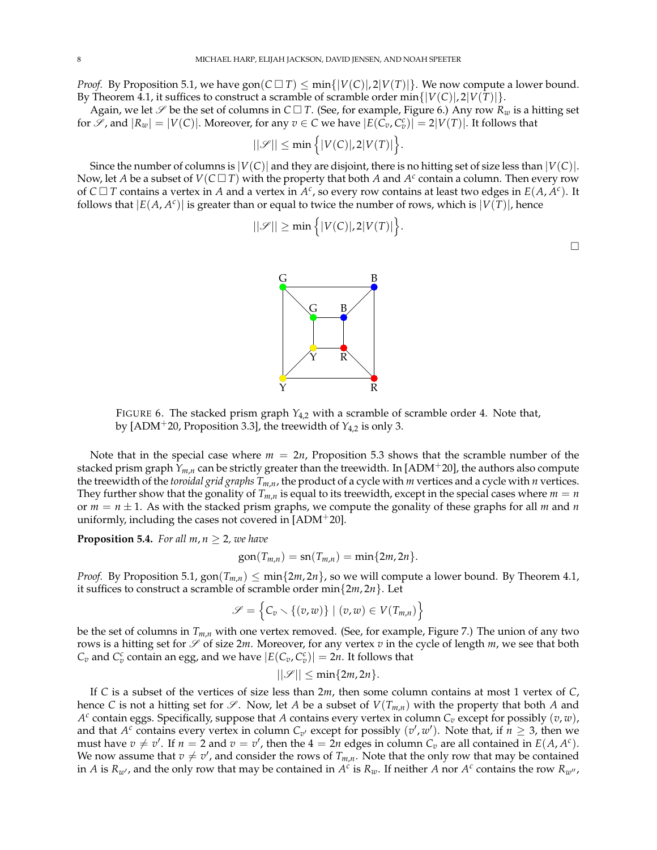*Proof.* By Proposition 5.1, we have  $\text{gon}(C \square T) \le \min\{|V(C)|, 2|V(T)|\}$ . We now compute a lower bound. By Theorem 4.1, it suffices to construct a scramble of scramble order min $\{|V(C)|, 2|V(T)|\}$ .

Again, we let  $\mathscr S$  be the set of columns in  $C \square T$ . (See, for example, Figure 6.) Any row  $R_w$  is a hitting set for  $\mathscr{S}$ , and  $|R_w| = |V(C)|$ . Moreover, for any  $v \in C$  we have  $|E(\overline{C_v}, C_v^c)| = 2|V(T)|$ . It follows that

$$
||\mathcal{S}|| \leq \min\Big\{|V(C)|, 2|V(T)|\Big\}.
$$

Since the number of columns is  $|V(C)|$  and they are disjoint, there is no hitting set of size less than  $|V(C)|$ . Now, let *A* be a subset of  $V(C \square T)$  with the property that both *A* and  $A^c$  contain a column. Then every row of  $C \Box T$  contains a vertex in *A* and a vertex in  $A^c$ , so every row contains at least two edges in  $E(A, A^c)$ . It follows that  $|E(A, A^c)|$  is greater than or equal to twice the number of rows, which is  $|V(T)|$ , hence

$$
||\mathscr{S}|| \geq \min\Big\{|V(C)|,2|V(T)|\Big\}.
$$



FIGURE 6. The stacked prism graph  $Y_{4,2}$  with a scramble of scramble order 4. Note that, by [ADM+20, Proposition 3.3], the treewidth of *Y*4,2 is only 3.

Note that in the special case where  $m = 2n$ , Proposition 5.3 shows that the scramble number of the stacked prism graph *Ym*,*<sup>n</sup>* can be strictly greater than the treewidth. In [ADM+20], the authors also compute the treewidth of the *toroidal grid graphs Tm*,*n*, the product of a cycle with *m* vertices and a cycle with *n* vertices. They further show that the gonality of  $T_{m,n}$  is equal to its treewidth, except in the special cases where  $m = n$ or  $m = n \pm 1$ . As with the stacked prism graphs, we compute the gonality of these graphs for all *m* and *n* uniformly, including the cases not covered in  $[ADM^+20]$ .

**Proposition 5.4.** *For all m, n*  $\geq$  2*, we have* 

$$
\text{gon}(T_{m,n}) = \text{sn}(T_{m,n}) = \min\{2m, 2n\}.
$$

*Proof.* By Proposition 5.1,  $\text{gon}(T_{m,n}) \leq \min\{2m, 2n\}$ , so we will compute a lower bound. By Theorem 4.1, it suffices to construct a scramble of scramble order min{2*m*, 2*n*}. Let

$$
\mathscr{S} = \left\{ C_v \setminus \{(v,w)\} \mid (v,w) \in V(T_{m,n}) \right\}
$$

be the set of columns in *Tm*,*<sup>n</sup>* with one vertex removed. (See, for example, Figure 7.) The union of any two rows is a hitting set for  $S$  of size 2*m*. Moreover, for any vertex  $v$  in the cycle of length  $m$ , we see that both  $C_v$  and  $C_v^c$  contain an egg, and we have  $|E(C_v, C_v^c)| = 2n$ . It follows that

$$
||\mathcal{S}|| \leq \min\{2m, 2n\}.
$$

If *C* is a subset of the vertices of size less than 2*m*, then some column contains at most 1 vertex of *C*, hence *C* is not a hitting set for  $\mathscr{S}$ . Now, let *A* be a subset of  $V(T_{m,n})$  with the property that both *A* and *A c* contain eggs. Specifically, suppose that *A* contains every vertex in column *C<sup>v</sup>* except for possibly (*v*, *w*), and that  $A^c$  contains every vertex in column  $C_{v'}$  except for possibly  $(v', w')$ . Note that, if  $n \ge 3$ , then we must have  $v \neq v'$ . If  $n = 2$  and  $v = v'$ , then the  $4 = 2n$  edges in column  $C_v$  are all contained in  $E(A, A^c)$ . We now assume that  $v \neq v'$ , and consider the rows of  $T_{m,n}$ . Note that the only row that may be contained in *A* is  $R_{w'}$ , and the only row that may be contained in  $A^c$  is  $R_w$ . If neither *A* nor  $A^c$  contains the row  $R_{w''}$ ,

 $\Box$